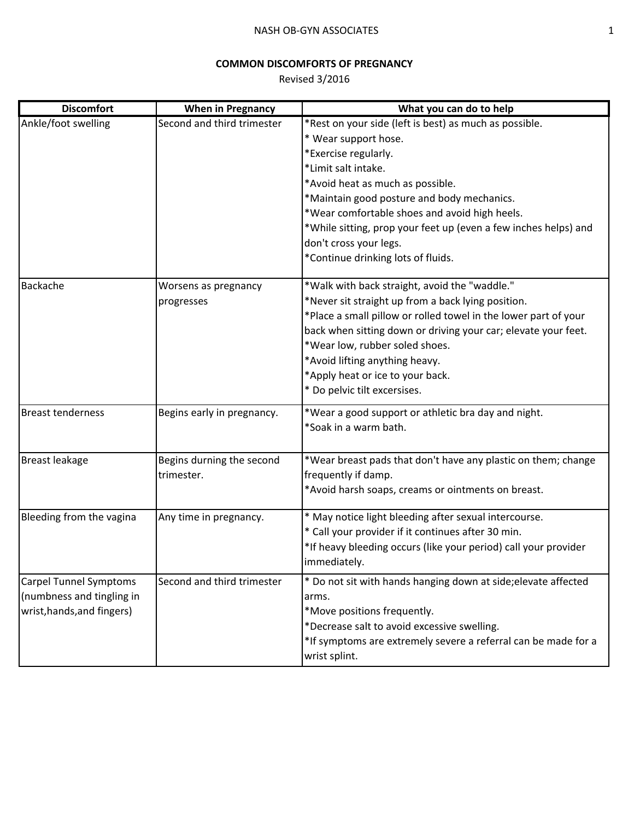## **COMMON DISCOMFORTS OF PREGNANCY**

Revised 3/2016

| <b>Discomfort</b>             | <b>When in Pregnancy</b>   | What you can do to help                                         |
|-------------------------------|----------------------------|-----------------------------------------------------------------|
| Ankle/foot swelling           | Second and third trimester | *Rest on your side (left is best) as much as possible.          |
|                               |                            | * Wear support hose.                                            |
|                               |                            | *Exercise regularly.                                            |
|                               |                            | *Limit salt intake.                                             |
|                               |                            | *Avoid heat as much as possible.                                |
|                               |                            | *Maintain good posture and body mechanics.                      |
|                               |                            | *Wear comfortable shoes and avoid high heels.                   |
|                               |                            | *While sitting, prop your feet up (even a few inches helps) and |
|                               |                            | don't cross your legs.                                          |
|                               |                            | *Continue drinking lots of fluids.                              |
| Backache                      | Worsens as pregnancy       | *Walk with back straight, avoid the "waddle."                   |
|                               | progresses                 | *Never sit straight up from a back lying position.              |
|                               |                            | *Place a small pillow or rolled towel in the lower part of your |
|                               |                            | back when sitting down or driving your car; elevate your feet.  |
|                               |                            | *Wear low, rubber soled shoes.                                  |
|                               |                            | *Avoid lifting anything heavy.                                  |
|                               |                            | *Apply heat or ice to your back.                                |
|                               |                            | * Do pelvic tilt excersises.                                    |
| <b>Breast tenderness</b>      | Begins early in pregnancy. | *Wear a good support or athletic bra day and night.             |
|                               |                            | *Soak in a warm bath.                                           |
|                               |                            |                                                                 |
| <b>Breast leakage</b>         | Begins durning the second  | *Wear breast pads that don't have any plastic on them; change   |
|                               | trimester.                 | frequently if damp.                                             |
|                               |                            | *Avoid harsh soaps, creams or ointments on breast.              |
| Bleeding from the vagina      | Any time in pregnancy.     | * May notice light bleeding after sexual intercourse.           |
|                               |                            | * Call your provider if it continues after 30 min.              |
|                               |                            | *If heavy bleeding occurs (like your period) call your provider |
|                               |                            | immediately.                                                    |
| <b>Carpel Tunnel Symptoms</b> | Second and third trimester | * Do not sit with hands hanging down at side; elevate affected  |
| (numbness and tingling in     |                            | arms.                                                           |
| wrist, hands, and fingers)    |                            | *Move positions frequently.                                     |
|                               |                            | *Decrease salt to avoid excessive swelling.                     |
|                               |                            | *If symptoms are extremely severe a referral can be made for a  |
|                               |                            | wrist splint.                                                   |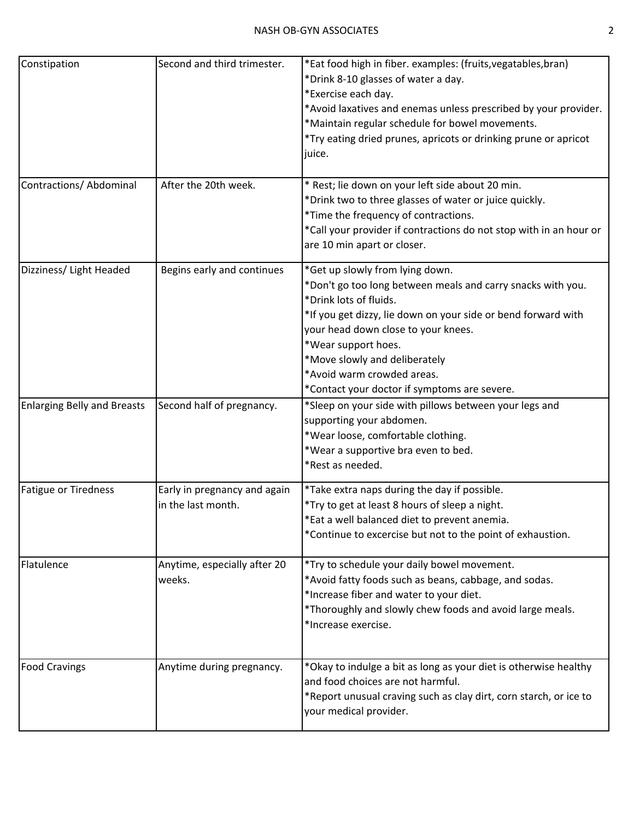| Constipation                       | Second and third trimester.                        | *Eat food high in fiber. examples: (fruits, vegatables, bran)<br>*Drink 8-10 glasses of water a day.<br>*Exercise each day.<br>*Avoid laxatives and enemas unless prescribed by your provider.<br>*Maintain regular schedule for bowel movements.<br>*Try eating dried prunes, apricots or drinking prune or apricot<br>juice.                                         |
|------------------------------------|----------------------------------------------------|------------------------------------------------------------------------------------------------------------------------------------------------------------------------------------------------------------------------------------------------------------------------------------------------------------------------------------------------------------------------|
| Contractions/ Abdominal            | After the 20th week.                               | * Rest; lie down on your left side about 20 min.<br>*Drink two to three glasses of water or juice quickly.<br>*Time the frequency of contractions.<br>*Call your provider if contractions do not stop with in an hour or<br>are 10 min apart or closer.                                                                                                                |
| Dizziness/ Light Headed            | Begins early and continues                         | *Get up slowly from lying down.<br>*Don't go too long between meals and carry snacks with you.<br>*Drink lots of fluids.<br>*If you get dizzy, lie down on your side or bend forward with<br>your head down close to your knees.<br>*Wear support hoes.<br>*Move slowly and deliberately<br>*Avoid warm crowded areas.<br>*Contact your doctor if symptoms are severe. |
| <b>Enlarging Belly and Breasts</b> | Second half of pregnancy.                          | *Sleep on your side with pillows between your legs and<br>supporting your abdomen.<br>*Wear loose, comfortable clothing.<br>*Wear a supportive bra even to bed.<br>*Rest as needed.                                                                                                                                                                                    |
| <b>Fatigue or Tiredness</b>        | Early in pregnancy and again<br>in the last month. | *Take extra naps during the day if possible.<br>*Try to get at least 8 hours of sleep a night.<br>*Eat a well balanced diet to prevent anemia.<br>*Continue to excercise but not to the point of exhaustion.                                                                                                                                                           |
| Flatulence                         | Anytime, especially after 20<br>weeks.             | *Try to schedule your daily bowel movement.<br>*Avoid fatty foods such as beans, cabbage, and sodas.<br>*Increase fiber and water to your diet.<br>*Thoroughly and slowly chew foods and avoid large meals.<br>*Increase exercise.                                                                                                                                     |
| <b>Food Cravings</b>               | Anytime during pregnancy.                          | *Okay to indulge a bit as long as your diet is otherwise healthy<br>and food choices are not harmful.<br>*Report unusual craving such as clay dirt, corn starch, or ice to<br>your medical provider.                                                                                                                                                                   |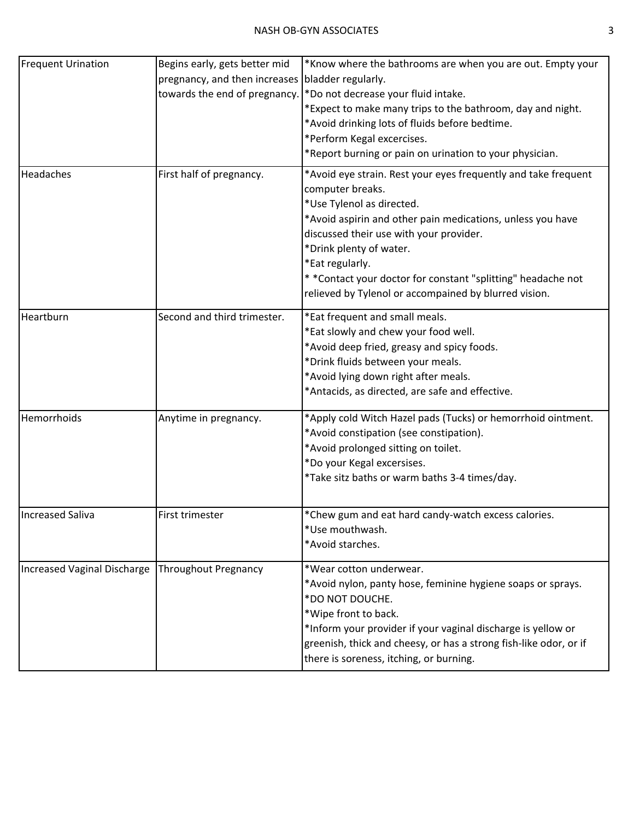| <b>Frequent Urination</b>   | Begins early, gets better mid<br>pregnancy, and then increases<br>towards the end of pregnancy. | *Know where the bathrooms are when you are out. Empty your<br>bladder regularly.<br>*Do not decrease your fluid intake.<br>*Expect to make many trips to the bathroom, day and night.<br>*Avoid drinking lots of fluids before bedtime.<br>*Perform Kegal excercises.<br>*Report burning or pain on urination to your physician.                                                                |
|-----------------------------|-------------------------------------------------------------------------------------------------|-------------------------------------------------------------------------------------------------------------------------------------------------------------------------------------------------------------------------------------------------------------------------------------------------------------------------------------------------------------------------------------------------|
| Headaches                   | First half of pregnancy.                                                                        | *Avoid eye strain. Rest your eyes frequently and take frequent<br>computer breaks.<br>*Use Tylenol as directed.<br>*Avoid aspirin and other pain medications, unless you have<br>discussed their use with your provider.<br>*Drink plenty of water.<br>*Eat regularly.<br>* *Contact your doctor for constant "splitting" headache not<br>relieved by Tylenol or accompained by blurred vision. |
| Heartburn                   | Second and third trimester.                                                                     | *Eat frequent and small meals.<br>*Eat slowly and chew your food well.<br>*Avoid deep fried, greasy and spicy foods.<br>*Drink fluids between your meals.<br>*Avoid lying down right after meals.<br>*Antacids, as directed, are safe and effective.                                                                                                                                            |
| Hemorrhoids                 | Anytime in pregnancy.                                                                           | *Apply cold Witch Hazel pads (Tucks) or hemorrhoid ointment.<br>*Avoid constipation (see constipation).<br>*Avoid prolonged sitting on toilet.<br>*Do your Kegal excersises.<br>*Take sitz baths or warm baths 3-4 times/day.                                                                                                                                                                   |
| <b>Increased Saliva</b>     | First trimester                                                                                 | *Chew gum and eat hard candy-watch excess calories.<br>*Use mouthwash.<br>*Avoid starches.                                                                                                                                                                                                                                                                                                      |
| Increased Vaginal Discharge | <b>Throughout Pregnancy</b>                                                                     | *Wear cotton underwear.<br>*Avoid nylon, panty hose, feminine hygiene soaps or sprays.<br>*DO NOT DOUCHE.<br>*Wipe front to back.<br>*Inform your provider if your vaginal discharge is yellow or<br>greenish, thick and cheesy, or has a strong fish-like odor, or if<br>there is soreness, itching, or burning.                                                                               |